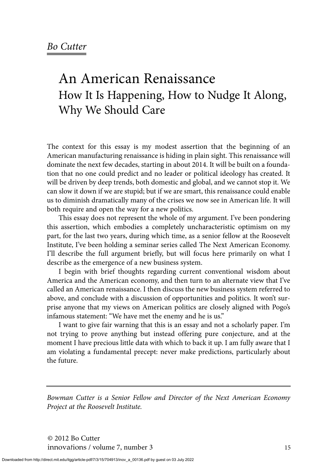# An American Renaissance How It Is Happening, How to Nudge It Along, Why We Should Care

The context for this essay is my modest assertion that the beginning of an American manufacturing renaissance is hiding in plain sight. This renaissance will dominate the next few decades, starting in about 2014. It will be built on a foundation that no one could predict and no leader or political ideology has created. It will be driven by deep trends, both domestic and global, and we cannot stop it. We can slow it down if we are stupid; but if we are smart, this renaissance could enable us to diminish dramatically many of the crises we now see in American life. It will both require and open the way for a new politics.

This essay does not represent the whole of my argument. I've been pondering this assertion, which embodies a completely uncharacteristic optimism on my part, for the last two years, during which time, as a senior fellow at the Roosevelt Institute, I've been holding a seminar series called The Next American Economy. I'll describe the full argument briefly, but will focus here primarily on what I describe as the emergence of a new business system.

I begin with brief thoughts regarding current conventional wisdom about America and the American economy, and then turn to an alternate view that I've called an American renaissance. I then discuss the new business system referred to above, and conclude with a discussion of opportunities and politics. It won't surprise anyone that my views on American politics are closely aligned with Pogo's infamous statement: "We have met the enemy and he is us."

I want to give fair warning that this is an essay and not a scholarly paper. I'm not trying to prove anything but instead offering pure conjecture, and at the moment I have precious little data with which to back it up. I am fully aware that I am violating a fundamental precept: never make predictions, particularly about the future.

*Bowman Cutter is a Senior Fellow and Director of the Next American Economy Project at the Roosevelt Institute.* 

© 2012 Bo Cutter innova*t*ions / volume 7, number 3 15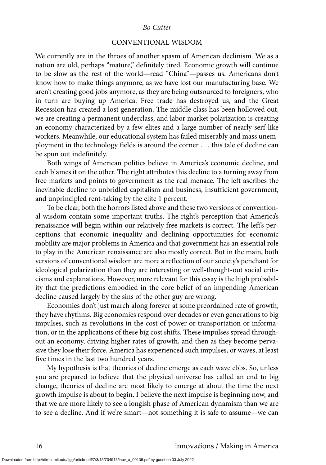## CONVENTIONAL WISDOM

We currently are in the throes of another spasm of American declinism. We as a nation are old, perhaps "mature," definitely tired. Economic growth will continue to be slow as the rest of the world—read "China"—passes us. Americans don't know how to make things anymore, as we have lost our manufacturing base. We aren't creating good jobs anymore, as they are being outsourced to foreigners, who in turn are buying up America. Free trade has destroyed us, and the Great Recession has created a lost generation. The middle class has been hollowed out, we are creating a permanent underclass, and labor market polarization is creating an economy characterized by a few elites and a large number of nearly serf-like workers. Meanwhile, our educational system has failed miserably and mass unemployment in the technology fields is around the corner . . . this tale of decline can be spun out indefinitely.

Both wings of American politics believe in America's economic decline, and each blames it on the other. The right attributes this decline to a turning away from free markets and points to government as the real menace. The left ascribes the inevitable decline to unbridled capitalism and business, insufficient government, and unprincipled rent-taking by the elite 1 percent.

To be clear, both the horrors listed above and these two versions of conventional wisdom contain some important truths. The right's perception that America's renaissance will begin within our relatively free markets is correct. The left's perceptions that economic inequality and declining opportunities for economic mobility are major problems in America and that government has an essential role to play in the American renaissance are also mostly correct. But in the main, both versions of conventional wisdom are more a reflection of our society's penchant for ideological polarization than they are interesting or well-thought-out social criticisms and explanations. However, more relevant for this essay is the high probability that the predictions embodied in the core belief of an impending American decline caused largely by the sins of the other guy are wrong.

Economies don't just march along forever at some preordained rate of growth, they have rhythms. Big economies respond over decades or even generations to big impulses, such as revolutions in the cost of power or transportation or information, or in the applications of these big cost shifts. These impulses spread throughout an economy, driving higher rates of growth, and then as they become pervasive they lose their force. America has experienced such impulses, or waves, at least five times in the last two hundred years.

My hypothesis is that theories of decline emerge as each wave ebbs. So, unless you are prepared to believe that the physical universe has called an end to big change, theories of decline are most likely to emerge at about the time the next growth impulse is about to begin. I believe the next impulse is beginning now, and that we are more likely to see a longish phase of American dynamism than we are to see a decline. And if we're smart—not something it is safe to assume—we can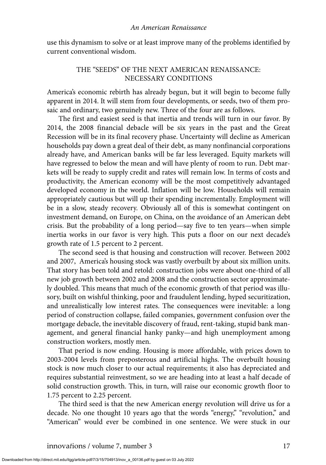use this dynamism to solve or at least improve many of the problems identified by current conventional wisdom.

## THE "SEEDS" OF THE NEXT AMERICAN RENAISSANCE: NECESSARY CONDITIONS

America's economic rebirth has already begun, but it will begin to become fully apparent in 2014. It will stem from four developments, or seeds, two of them prosaic and ordinary, two genuinely new. Three of the four are as follows.

The first and easiest seed is that inertia and trends will turn in our favor. By 2014, the 2008 financial debacle will be six years in the past and the Great Recession will be in its final recovery phase. Uncertainty will decline as American households pay down a great deal of their debt, as many nonfinancial corporations already have, and American banks will be far less leveraged. Equity markets will have regressed to below the mean and will have plenty of room to run. Debt markets will be ready to supply credit and rates will remain low. In terms of costs and productivity, the American economy will be the most competitively advantaged developed economy in the world. Inflation will be low. Households will remain appropriately cautious but will up their spending incrementally. Employment will be in a slow, steady recovery. Obviously all of this is somewhat contingent on investment demand, on Europe, on China, on the avoidance of an American debt crisis. But the probability of a long period—say five to ten years—when simple inertia works in our favor is very high. This puts a floor on our next decade's growth rate of 1.5 percent to 2 percent.

The second seed is that housing and construction will recover. Between 2002 and 2007, America's housing stock was vastly overbuilt by about six million units. That story has been told and retold: construction jobs were about one-third of all new job growth between 2002 and 2008 and the construction sector approximately doubled. This means that much of the economic growth of that period was illusory, built on wishful thinking, poor and fraudulent lending, hyped securitization, and unrealistically low interest rates. The consequences were inevitable: a long period of construction collapse, failed companies, government confusion over the mortgage debacle, the inevitable discovery of fraud, rent-taking, stupid bank management, and general financial hanky panky—and high unemployment among construction workers, mostly men.

That period is now ending. Housing is more affordable, with prices down to 2003-2004 levels from preposterous and artificial highs. The overbuilt housing stock is now much closer to our actual requirements; it also has depreciated and requires substantial reinvestment, so we are heading into at least a half decade of solid construction growth. This, in turn, will raise our economic growth floor to 1.75 percent to 2.25 percent.

The third seed is that the new American energy revolution will drive us for a decade. No one thought 10 years ago that the words "energy," "revolution," and "American" would ever be combined in one sentence. We were stuck in our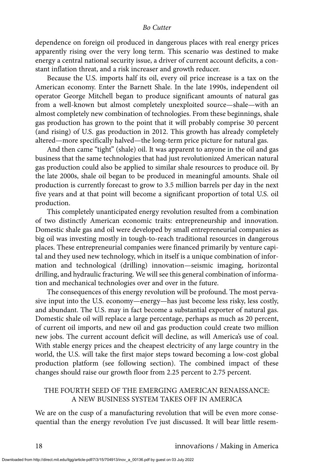dependence on foreign oil produced in dangerous places with real energy prices apparently rising over the very long term. This scenario was destined to make energy a central national security issue, a driver of current account deficits, a constant inflation threat, and a risk increaser and growth reducer.

Because the U.S. imports half its oil, every oil price increase is a tax on the American economy. Enter the Barnett Shale. In the late 1990s, independent oil operator George Mitchell began to produce significant amounts of natural gas from a well-known but almost completely unexploited source—shale—with an almost completely new combination of technologies. From these beginnings, shale gas production has grown to the point that it will probably comprise 30 percent (and rising) of U.S. gas production in 2012. This growth has already completely altered—more specifically halved—the long-term price picture for natural gas.

And then came "tight" (shale) oil. It was apparent to anyone in the oil and gas business that the same technologies that had just revolutionized American natural gas production could also be applied to similar shale resources to produce oil. By the late 2000s, shale oil began to be produced in meaningful amounts. Shale oil production is currently forecast to grow to 3.5 million barrels per day in the next five years and at that point will become a significant proportion of total U.S. oil production.

This completely unanticipated energy revolution resulted from a combination of two distinctly American economic traits: entrepreneurship and innovation. Domestic shale gas and oil were developed by small entrepreneurial companies as big oil was investing mostly in tough-to-reach traditional resources in dangerous places. These entrepreneurial companies were financed primarily by venture capital and they used new technology, which in itself is a unique combination of information and technological (drilling) innovation—seismic imaging, horizontal drilling, and hydraulic fracturing. We will see this general combination of information and mechanical technologies over and over in the future.

The consequences of this energy revolution will be profound. The most pervasive input into the U.S. economy—energy—has just become less risky, less costly, and abundant. The U.S. may in fact become a substantial exporter of natural gas. Domestic shale oil will replace a large percentage, perhaps as much as 20 percent, of current oil imports, and new oil and gas production could create two million new jobs. The current account deficit will decline, as will America's use of coal. With stable energy prices and the cheapest electricity of any large country in the world, the U.S. will take the first major steps toward becoming a low-cost global production platform (see following section). The combined impact of these changes should raise our growth floor from 2.25 percent to 2.75 percent.

## THE FOURTH SEED OF THE EMERGING AMERICAN RENAISSANCE: A NEW BUSINESS SYSTEM TAKES OFF IN AMERICA

We are on the cusp of a manufacturing revolution that will be even more consequential than the energy revolution I've just discussed. It will bear little resem-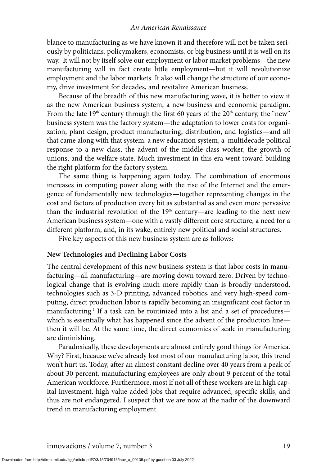## *An American Renaissance*

blance to manufacturing as we have known it and therefore will not be taken seriously by politicians, policymakers, economists, or big business until it is well on its way. It will not by itself solve our employment or labor market problems—the new manufacturing will in fact create little employment—but it will revolutionize employment and the labor markets. It also will change the structure of our economy, drive investment for decades, and revitalize American business.

Because of the breadth of this new manufacturing wave, it is better to view it as the new American business system, a new business and economic paradigm. From the late  $19<sup>th</sup>$  century through the first 60 years of the  $20<sup>th</sup>$  century, the "new" business system was the factory system—the adaptation to lower costs for organization, plant design, product manufacturing, distribution, and logistics—and all that came along with that system: a new education system, a multidecade political response to a new class, the advent of the middle-class worker, the growth of unions, and the welfare state. Much investment in this era went toward building the right platform for the factory system.

The same thing is happening again today. The combination of enormous increases in computing power along with the rise of the Internet and the emergence of fundamentally new technologies—together representing changes in the cost and factors of production every bit as substantial as and even more pervasive than the industrial revolution of the  $19<sup>th</sup>$  century—are leading to the next new American business system—one with a vastly different core structure, a need for a different platform, and, in its wake, entirely new political and social structures.

Five key aspects of this new business system are as follows:

## **New Technologies and Declining Labor Costs**

The central development of this new business system is that labor costs in manufacturing—all manufacturing—are moving down toward zero. Driven by technological change that is evolving much more rapidly than is broadly understood, technologies such as 3-D printing, advanced robotics, and very high-speed computing, direct production labor is rapidly becoming an insignificant cost factor in manufacturing.<sup>1</sup> If a task can be routinized into a list and a set of procedures which is essentially what has happened since the advent of the production line then it will be. At the same time, the direct economies of scale in manufacturing are diminishing.

Paradoxically, these developments are almost entirely good things for America. Why? First, because we've already lost most of our manufacturing labor, this trend won't hurt us. Today, after an almost constant decline over 40 years from a peak of about 30 percent, manufacturing employees are only about 9 percent of the total American workforce. Furthermore, most if not all of these workers are in high capital investment, high value added jobs that require advanced, specific skills, and thus are not endangered. I suspect that we are now at the nadir of the downward trend in manufacturing employment.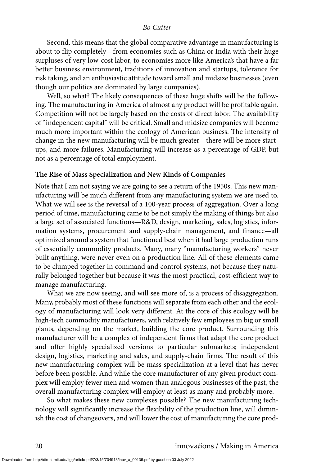Second, this means that the global comparative advantage in manufacturing is about to flip completely—from economies such as China or India with their huge surpluses of very low-cost labor, to economies more like America's that have a far better business environment, traditions of innovation and startups, tolerance for risk taking, and an enthusiastic attitude toward small and midsize businesses (even though our politics are dominated by large companies).

Well, so what? The likely consequences of these huge shifts will be the following. The manufacturing in America of almost any product will be profitable again. Competition will not be largely based on the costs of direct labor. The availability of "independent capital" will be critical. Small and midsize companies will become much more important within the ecology of American business. The intensity of change in the new manufacturing will be much greater—there will be more startups, and more failures. Manufacturing will increase as a percentage of GDP, but not as a percentage of total employment.

## **The Rise of Mass Specialization and New Kinds of Companies**

Note that I am not saying we are going to see a return of the 1950s. This new manufacturing will be much different from any manufacturing system we are used to. What we will see is the reversal of a 100-year process of aggregation. Over a long period of time, manufacturing came to be not simply the making of things but also a large set of associated functions—R&D, design, marketing, sales, logistics, information systems, procurement and supply-chain management, and finance—all optimized around a system that functioned best when it had large production runs of essentially commodity products. Many, many "manufacturing workers" never built anything, were never even on a production line. All of these elements came to be clumped together in command and control systems, not because they naturally belonged together but because it was the most practical, cost-efficient way to manage manufacturing.

What we are now seeing, and will see more of, is a process of disaggregation. Many, probably most of these functions will separate from each other and the ecology of manufacturing will look very different. At the core of this ecology will be high-tech commodity manufacturers, with relatively few employees in big or small plants, depending on the market, building the core product. Surrounding this manufacturer will be a complex of independent firms that adapt the core product and offer highly specialized versions to particular submarkets; independent design, logistics, marketing and sales, and supply-chain firms. The result of this new manufacturing complex will be mass specialization at a level that has never before been possible. And while the core manufacturer of any given product complex will employ fewer men and women than analogous businesses of the past, the overall manufacturing complex will employ at least as many and probably more.

So what makes these new complexes possible? The new manufacturing technology will significantly increase the flexibility of the production line, will diminish the cost of changeovers, and will lower the cost of manufacturing the core prod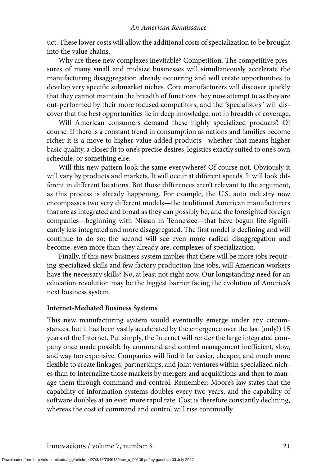uct. These lower costs will allow the additional costs of specialization to be brought into the value chains.

Why are these new complexes inevitable? Competition. The competitive pressures of many small and midsize businesses will simultaneously accelerate the manufacturing disaggregation already occurring and will create opportunities to develop very specific submarket niches. Core manufacturers will discover quickly that they cannot maintain the breadth of functions they now attempt to as they are out-performed by their more focused competitors, and the "specializors" will discover that the best opportunities lie in deep knowledge, not in breadth of coverage.

Will American consumers demand these highly specialized products? Of course. If there is a constant trend in consumption as nations and families become richer it is a move to higher value added products—whether that means higher basic quality, a closer fit to one's precise desires, logistics exactly suited to one's own schedule, or something else.

Will this new pattern look the same everywhere? Of course not. Obviously it will vary by products and markets. It will occur at different speeds. It will look different in different locations. But those differences aren't relevant to the argument, as this process is already happening. For example, the U.S. auto industry now encompasses two very different models—the traditional American manufacturers that are as integrated and broad as they can possibly be, and the foresighted foreign companies—beginning with Nissan in Tennessee—that have begun life significantly less integrated and more disaggregated. The first model is declining and will continue to do so; the second will see even more radical disaggregation and become, even more than they already are, complexes of specialization.

Finally, if this new business system implies that there will be more jobs requiring specialized skills and few factory production line jobs, will American workers have the necessary skills? No, at least not right now. Our longstanding need for an education revolution may be the biggest barrier facing the evolution of America's next business system.

## **Internet-Mediated Business Systems**

This new manufacturing system would eventually emerge under any circumstances, but it has been vastly accelerated by the emergence over the last (only!) 15 years of the Internet. Put simply, the Internet will render the large integrated company once made possible by command and control management inefficient, slow, and way too expensive. Companies will find it far easier, cheaper, and much more flexible to create linkages, partnerships, and joint ventures within specialized niches than to internalize those markets by mergers and acquisitions and then to manage them through command and control. Remember: Moore's law states that the capability of information systems doubles every two years, and the capability of software doubles at an even more rapid rate. Cost is therefore constantly declining, whereas the cost of command and control will rise continually.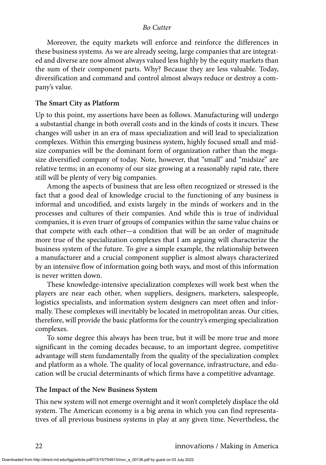Moreover, the equity markets will enforce and reinforce the differences in these business systems. As we are already seeing, large companies that are integrated and diverse are now almost always valued less highly by the equity markets than the sum of their component parts. Why? Because they are less valuable. Today, diversification and command and control almost always reduce or destroy a company's value.

## **The Smart City as Platform**

Up to this point, my assertions have been as follows. Manufacturing will undergo a substantial change in both overall costs and in the kinds of costs it incurs. These changes will usher in an era of mass specialization and will lead to specialization complexes. Within this emerging business system, highly focused small and midsize companies will be the dominant form of organization rather than the megasize diversified company of today. Note, however, that "small" and "midsize" are relative terms; in an economy of our size growing at a reasonably rapid rate, there still will be plenty of very big companies.

Among the aspects of business that are less often recognized or stressed is the fact that a good deal of knowledge crucial to the functioning of any business is informal and uncodified, and exists largely in the minds of workers and in the processes and cultures of their companies. And while this is true of individual companies, it is even truer of groups of companies within the same value chains or that compete with each other—a condition that will be an order of magnitude more true of the specialization complexes that I am arguing will characterize the business system of the future. To give a simple example, the relationship between a manufacturer and a crucial component supplier is almost always characterized by an intensive flow of information going both ways, and most of this information is never written down.

These knowledge-intensive specialization complexes will work best when the players are near each other, when suppliers, designers, marketers, salespeople, logistics specialists, and information system designers can meet often and informally. These complexes will inevitably be located in metropolitan areas. Our cities, therefore, will provide the basic platforms for the country's emerging specialization complexes.

To some degree this always has been true, but it will be more true and more significant in the coming decades because, to an important degree, competitive advantage will stem fundamentally from the quality of the specialization complex and platform as a whole. The quality of local governance, infrastructure, and education will be crucial determinants of which firms have a competitive advantage.

## **The Impact of the New Business System**

This new system will not emerge overnight and it won't completely displace the old system. The American economy is a big arena in which you can find representatives of all previous business systems in play at any given time. Nevertheless, the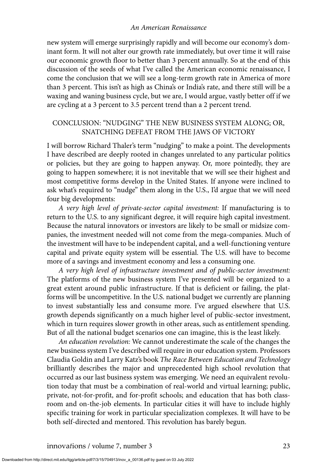## *An American Renaissance*

new system will emerge surprisingly rapidly and will become our economy's dominant form. It will not alter our growth rate immediately, but over time it will raise our economic growth floor to better than 3 percent annually. So at the end of this discussion of the seeds of what I've called the American economic renaissance, I come the conclusion that we will see a long-term growth rate in America of more than 3 percent. This isn't as high as China's or India's rate, and there still will be a waxing and waning business cycle, but we are, I would argue, vastly better off if we are cycling at a 3 percent to 3.5 percent trend than a 2 percent trend.

# CONCLUSION: "NUDGING" THE NEW BUSINESS SYSTEM ALONG; OR, SNATCHING DEFEAT FROM THE JAWS OF VICTORY

I will borrow Richard Thaler's term "nudging" to make a point. The developments I have described are deeply rooted in changes unrelated to any particular politics or policies, but they are going to happen anyway. Or, more pointedly, they are going to happen somewhere; it is not inevitable that we will see their highest and most competitive forms develop in the United States. If anyone were inclined to ask what's required to "nudge" them along in the U.S., I'd argue that we will need four big developments:

*A very high level of private-sector capital investment:* If manufacturing is to return to the U.S. to any significant degree, it will require high capital investment. Because the natural innovators or investors are likely to be small or midsize companies, the investment needed will not come from the mega-companies. Much of the investment will have to be independent capital, and a well-functioning venture capital and private equity system will be essential. The U.S. will have to become more of a savings and investment economy and less a consuming one.

*A very high level of infrastructure investment and of public-sector investment:* The platforms of the new business system I've presented will be organized to a great extent around public infrastructure. If that is deficient or failing, the platforms will be uncompetitive. In the U.S. national budget we currently are planning to invest substantially less and consume more. I've argued elsewhere that U.S. growth depends significantly on a much higher level of public-sector investment, which in turn requires slower growth in other areas, such as entitlement spending. But of all the national budget scenarios one can imagine, this is the least likely.

*An education revolution:* We cannot underestimate the scale of the changes the new business system I've described will require in our education system. Professors Claudia Goldin and Larry Katz's book *The Race Between Education and Technology* brilliantly describes the major and unprecedented high school revolution that occurred as our last business system was emerging. We need an equivalent revolution today that must be a combination of real-world and virtual learning; public, private, not-for-profit, and for-profit schools; and education that has both classroom and on-the-job elements. In particular cities it will have to include highly specific training for work in particular specialization complexes. It will have to be both self-directed and mentored. This revolution has barely begun.

innova*t*ions / volume 7, number 3 23